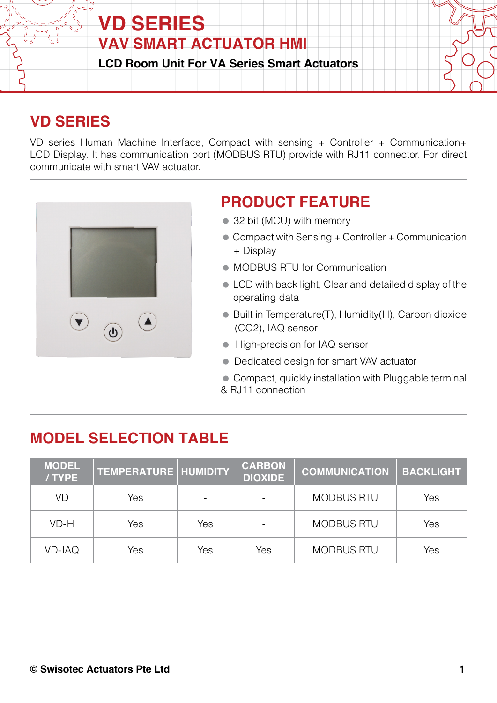

## **VD SERIES**

VD series Human Machine Interface, Compact with sensing + Controller + Communication+ LCD Display. It has communication port (MODBUS RTU) provide with RJ11 connector. For direct communicate with smart VAV actuator.



## **PRODUCT FEATURE**

- 32 bit (MCU) with memory
- Compact with Sensing + Controller + Communication + Display
- MODBUS RTU for Communication
- LCD with back light, Clear and detailed display of the operating data
- Built in Temperature(T), Humidity(H), Carbon dioxide (CO2), IAQ sensor
- **High-precision for IAQ sensor**
- Dedicated design for smart VAV actuator
- Compact, quickly installation with Pluggable terminal & RJ11 connection

## **MODEL SELECTION TABLE**

| <b>MODEL</b><br>/TYPE | TEMPERATURE   HUMIDITY |     | <b>CARBON</b><br><b>DIOXIDE</b> | <b>COMMUNICATION</b> | <b>BACKLIGHT</b> |
|-----------------------|------------------------|-----|---------------------------------|----------------------|------------------|
| VD                    | Yes                    |     |                                 | <b>MODBUS RTU</b>    | Yes              |
| VD-H                  | Yes                    | Yes |                                 | <b>MODBUS RTU</b>    | Yes              |
| <b>VD-IAQ</b>         | Yes                    | Yes | Yes                             | <b>MODBUS RTU</b>    | Yes              |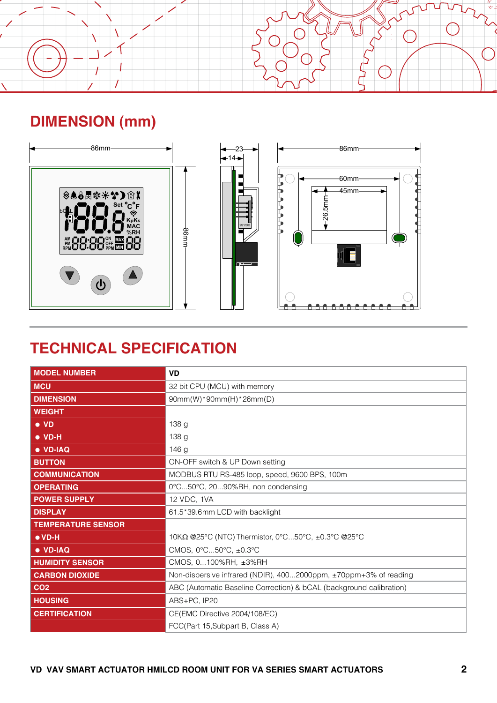

# **DIMENSION (mm)**



## **TECHNICAL SPECIFICATION**

| $\blacksquare$ $\blacksquare$ $\blacksquare$ $\blacksquare$ $\blacksquare$ | 86mm<br><b>TILL</b>                                                 |  |  |  |
|----------------------------------------------------------------------------|---------------------------------------------------------------------|--|--|--|
| <b>TECHNICAL SPECIFICATION</b>                                             |                                                                     |  |  |  |
| <b>MODEL NUMBER</b>                                                        | <b>VD</b>                                                           |  |  |  |
| <b>MCU</b>                                                                 | 32 bit CPU (MCU) with memory                                        |  |  |  |
| <b>DIMENSION</b>                                                           | 90mm(W)*90mm(H)*26mm(D)                                             |  |  |  |
| <b>WEIGHT</b><br>$\bullet$ VD                                              | 138 g                                                               |  |  |  |
| $\bullet$ VD-H                                                             | 138 <sub>g</sub>                                                    |  |  |  |
| · VD-IAQ                                                                   | 146 g                                                               |  |  |  |
| <b>BUTTON</b>                                                              | ON-OFF switch & UP Down setting                                     |  |  |  |
| <b>COMMUNICATION</b>                                                       | MODBUS RTU RS-485 loop, speed, 9600 BPS, 100m                       |  |  |  |
| <b>OPERATING</b>                                                           | 0°C50°C, 2090%RH, non condensing                                    |  |  |  |
| <b>POWER SUPPLY</b>                                                        | 12 VDC, 1VA                                                         |  |  |  |
| <b>DISPLAY</b>                                                             | 61.5*39.6mm LCD with backlight                                      |  |  |  |
| <b>TEMPERATURE SENSOR</b>                                                  |                                                                     |  |  |  |
| $\bullet$ VD-H                                                             | 10KΩ @25°C (NTC) Thermistor, 0°C50°C, ±0.3°C @25°C                  |  |  |  |
| · VD-IAQ                                                                   | CMOS, 0°C50°C, ±0.3°C                                               |  |  |  |
| <b>HUMIDITY SENSOR</b>                                                     | CMOS, 0100%RH, ±3%RH                                                |  |  |  |
| <b>CARBON DIOXIDE</b>                                                      | Non-dispersive infrared (NDIR), 4002000ppm, ±70ppm+3% of reading    |  |  |  |
| CO <sub>2</sub>                                                            | ABC (Automatic Baseline Correction) & bCAL (background calibration) |  |  |  |
| <b>HOUSING</b>                                                             | ABS+PC, IP20                                                        |  |  |  |
| <b>CERTIFICATION</b>                                                       | CE(EMC Directive 2004/108/EC)                                       |  |  |  |
|                                                                            | FCC(Part 15, Subpart B, Class A)                                    |  |  |  |